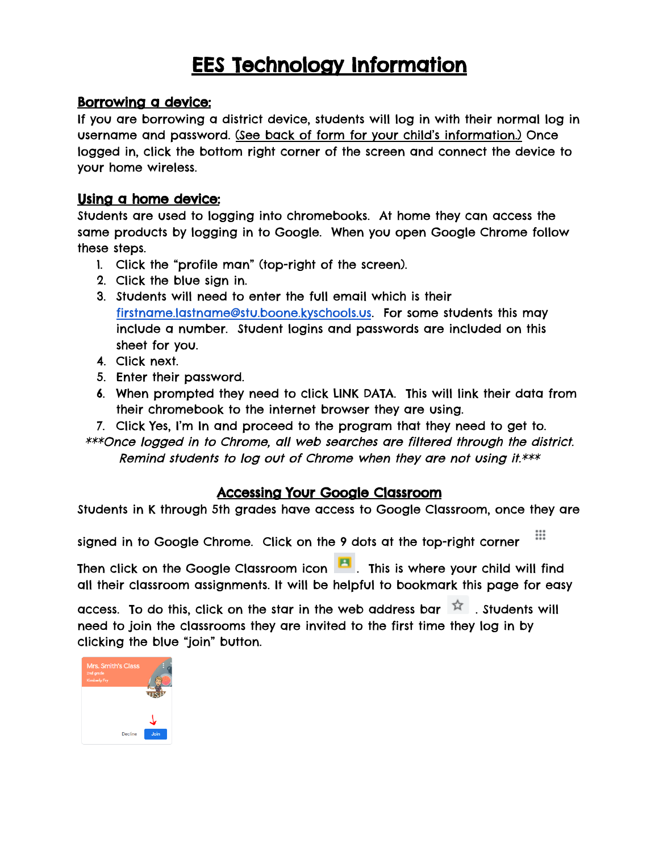# EES Technology Information

## Borrowing a device:

If you are borrowing a district device, students will log in with their normal log in username and password. (See back of form for your child's information.) Once logged in, click the bottom right corner of the screen and connect the device to your home wireless.

### Using a home device:

Students are used to logging into chromebooks. At home they can access the same products by logging in to Google. When you open Google Chrome follow these steps.

- 1. Click the "profile man" (top-right of the screen).
- 2. Click the blue sign in.
- 3. Students will need to enter the full email which is their [firstname.lastname@stu.boone.kyschools.us](mailto:first.last@stu.boone.kyschools.us). For some students this may include a number. Student logins and passwords are included on this sheet for you.
- 4. Click next.
- 5. Enter their password.
- 6. When prompted they need to click LINK DATA. This will link their data from their chromebook to the internet browser they are using.
- 7. Click Yes, I'm In and proceed to the program that they need to get to.

\*\*\*Once logged in to Chrome, all web searches are filtered through the district. Remind students to log out of Chrome when they are not using it.\*\*\*

### Accessing Your Google Classroom

Students in K through 5th grades have access to Google Classroom, once they are

∷ signed in to Google Chrome. Click on the 9 dots at the top-right corner

Then click on the Google Classroom icon **. This is where your child will find** all their classroom assignments. It will be helpful to bookmark this page for easy

access. To do this, click on the star in the web address bar  $\overrightarrow{A}$  . Students will need to join the classrooms they are invited to the first time they log in by clicking the blue "join" button.